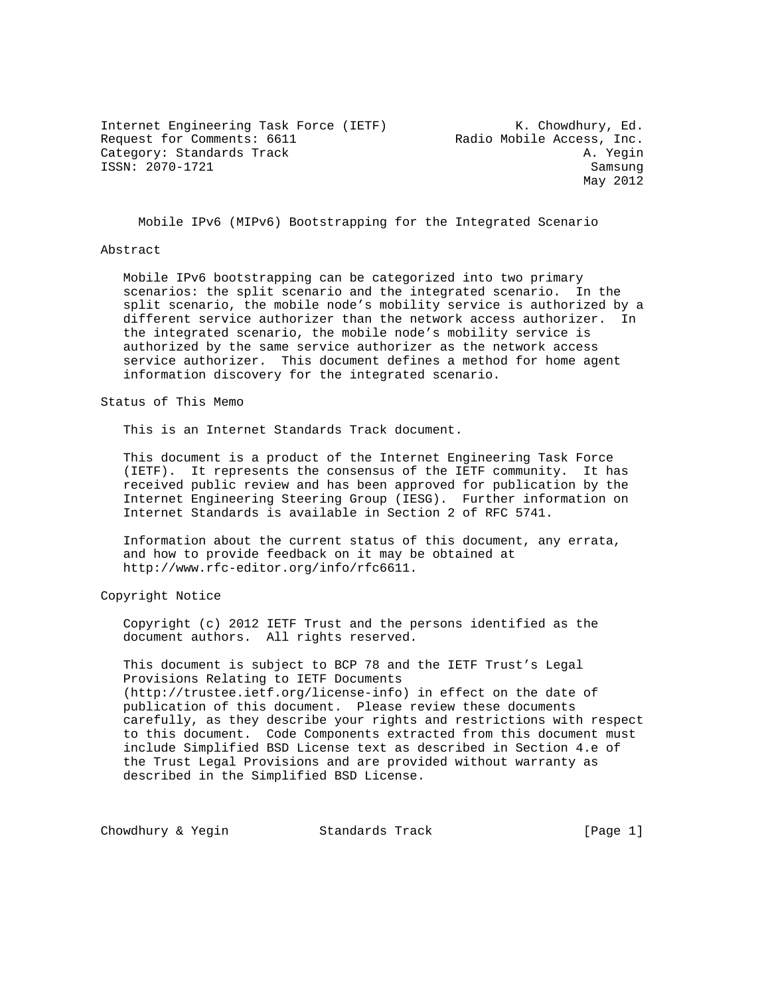Internet Engineering Task Force (IETF) K. Chowdhury, Ed. Internet Engineering rask roles (Internal Radio Mobile Access, Inc.<br>Request for Comments: 6611 Category: Standards Track A. Yegin ISSN: 2070-1721 Samsung

May 2012

Mobile IPv6 (MIPv6) Bootstrapping for the Integrated Scenario

#### Abstract

 Mobile IPv6 bootstrapping can be categorized into two primary scenarios: the split scenario and the integrated scenario. In the split scenario, the mobile node's mobility service is authorized by a different service authorizer than the network access authorizer. In the integrated scenario, the mobile node's mobility service is authorized by the same service authorizer as the network access service authorizer. This document defines a method for home agent information discovery for the integrated scenario.

Status of This Memo

This is an Internet Standards Track document.

 This document is a product of the Internet Engineering Task Force (IETF). It represents the consensus of the IETF community. It has received public review and has been approved for publication by the Internet Engineering Steering Group (IESG). Further information on Internet Standards is available in Section 2 of RFC 5741.

 Information about the current status of this document, any errata, and how to provide feedback on it may be obtained at http://www.rfc-editor.org/info/rfc6611.

Copyright Notice

 Copyright (c) 2012 IETF Trust and the persons identified as the document authors. All rights reserved.

 This document is subject to BCP 78 and the IETF Trust's Legal Provisions Relating to IETF Documents (http://trustee.ietf.org/license-info) in effect on the date of publication of this document. Please review these documents carefully, as they describe your rights and restrictions with respect to this document. Code Components extracted from this document must include Simplified BSD License text as described in Section 4.e of the Trust Legal Provisions and are provided without warranty as described in the Simplified BSD License.

Chowdhury & Yegin **Standards Track** [Page 1]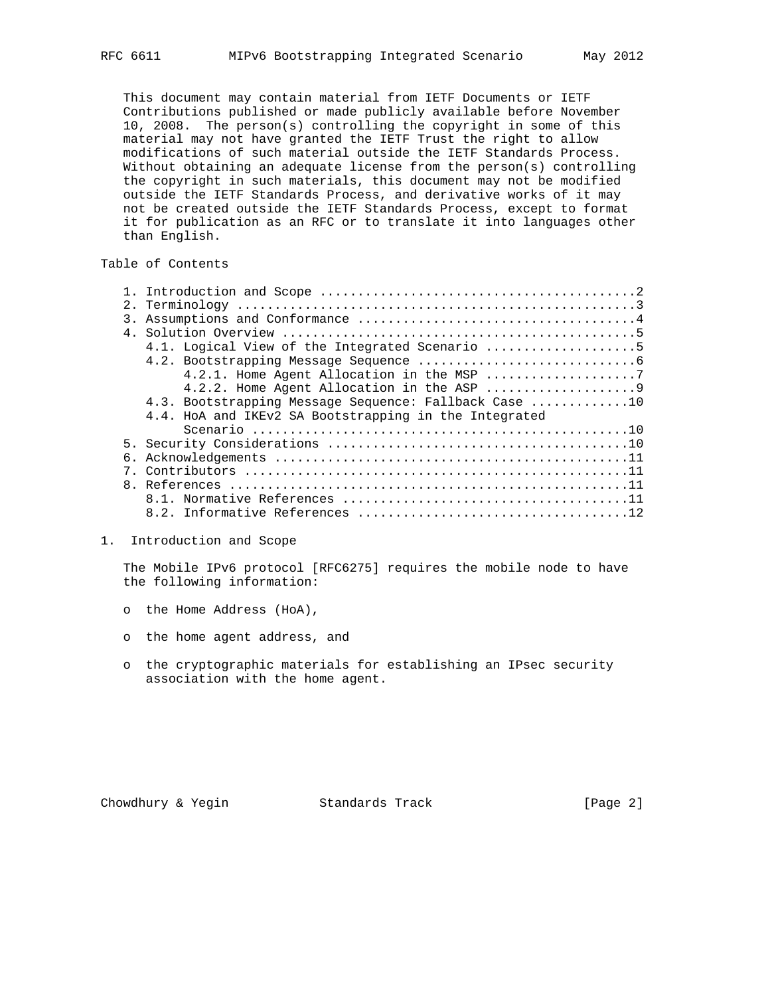This document may contain material from IETF Documents or IETF Contributions published or made publicly available before November 10, 2008. The person(s) controlling the copyright in some of this material may not have granted the IETF Trust the right to allow modifications of such material outside the IETF Standards Process. Without obtaining an adequate license from the person(s) controlling the copyright in such materials, this document may not be modified outside the IETF Standards Process, and derivative works of it may not be created outside the IETF Standards Process, except to format it for publication as an RFC or to translate it into languages other than English.

# Table of Contents

| $\overline{3}$ . |                                                       |
|------------------|-------------------------------------------------------|
|                  |                                                       |
|                  | 4.1. Logical View of the Integrated Scenario 5        |
|                  |                                                       |
|                  |                                                       |
|                  |                                                       |
|                  | 4.3. Bootstrapping Message Sequence: Fallback Case 10 |
|                  | 4.4. HoA and IKEv2 SA Bootstrapping in the Integrated |
|                  |                                                       |
|                  |                                                       |
|                  |                                                       |
|                  |                                                       |
|                  |                                                       |
|                  |                                                       |
|                  |                                                       |

### 1. Introduction and Scope

 The Mobile IPv6 protocol [RFC6275] requires the mobile node to have the following information:

- o the Home Address (HoA),
- o the home agent address, and
- o the cryptographic materials for establishing an IPsec security association with the home agent.

Chowdhury & Yegin Standards Track [Page 2]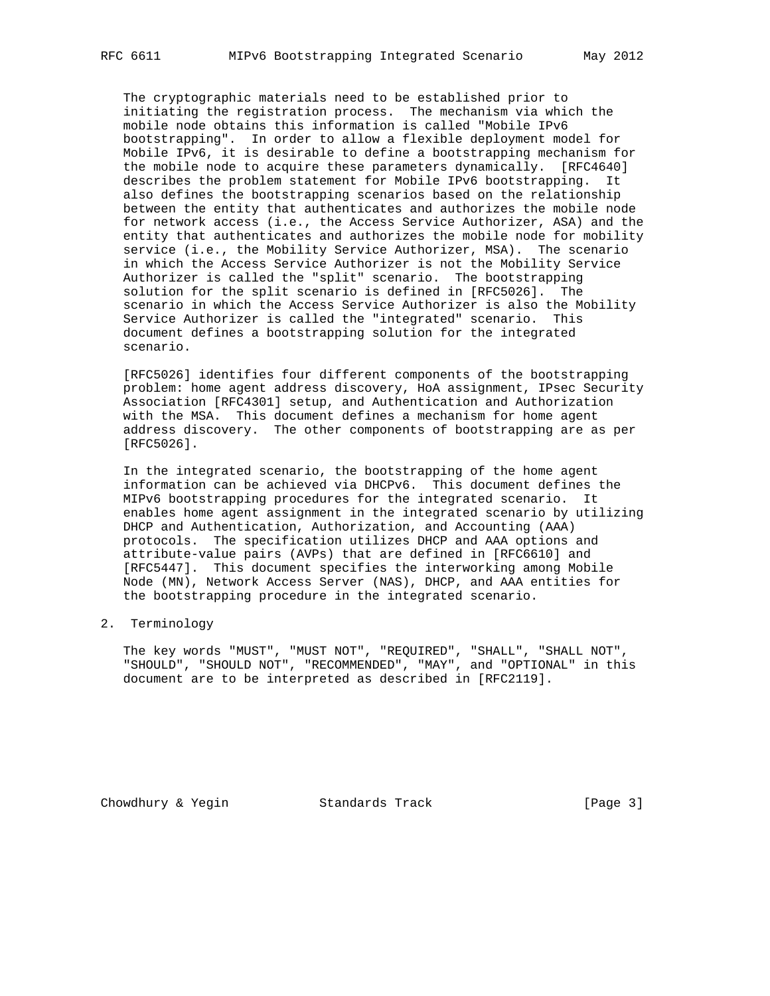The cryptographic materials need to be established prior to initiating the registration process. The mechanism via which the mobile node obtains this information is called "Mobile IPv6 bootstrapping". In order to allow a flexible deployment model for Mobile IPv6, it is desirable to define a bootstrapping mechanism for the mobile node to acquire these parameters dynamically. [RFC4640] describes the problem statement for Mobile IPv6 bootstrapping. It also defines the bootstrapping scenarios based on the relationship between the entity that authenticates and authorizes the mobile node for network access (i.e., the Access Service Authorizer, ASA) and the entity that authenticates and authorizes the mobile node for mobility service (i.e., the Mobility Service Authorizer, MSA). The scenario in which the Access Service Authorizer is not the Mobility Service Authorizer is called the "split" scenario. The bootstrapping solution for the split scenario is defined in [RFC5026]. The scenario in which the Access Service Authorizer is also the Mobility Service Authorizer is called the "integrated" scenario. This document defines a bootstrapping solution for the integrated scenario.

 [RFC5026] identifies four different components of the bootstrapping problem: home agent address discovery, HoA assignment, IPsec Security Association [RFC4301] setup, and Authentication and Authorization with the MSA. This document defines a mechanism for home agent address discovery. The other components of bootstrapping are as per [RFC5026].

 In the integrated scenario, the bootstrapping of the home agent information can be achieved via DHCPv6. This document defines the MIPv6 bootstrapping procedures for the integrated scenario. It enables home agent assignment in the integrated scenario by utilizing DHCP and Authentication, Authorization, and Accounting (AAA) protocols. The specification utilizes DHCP and AAA options and attribute-value pairs (AVPs) that are defined in [RFC6610] and [RFC5447]. This document specifies the interworking among Mobile Node (MN), Network Access Server (NAS), DHCP, and AAA entities for the bootstrapping procedure in the integrated scenario.

## 2. Terminology

 The key words "MUST", "MUST NOT", "REQUIRED", "SHALL", "SHALL NOT", "SHOULD", "SHOULD NOT", "RECOMMENDED", "MAY", and "OPTIONAL" in this document are to be interpreted as described in [RFC2119].

Chowdhury & Yegin Standards Track [Page 3]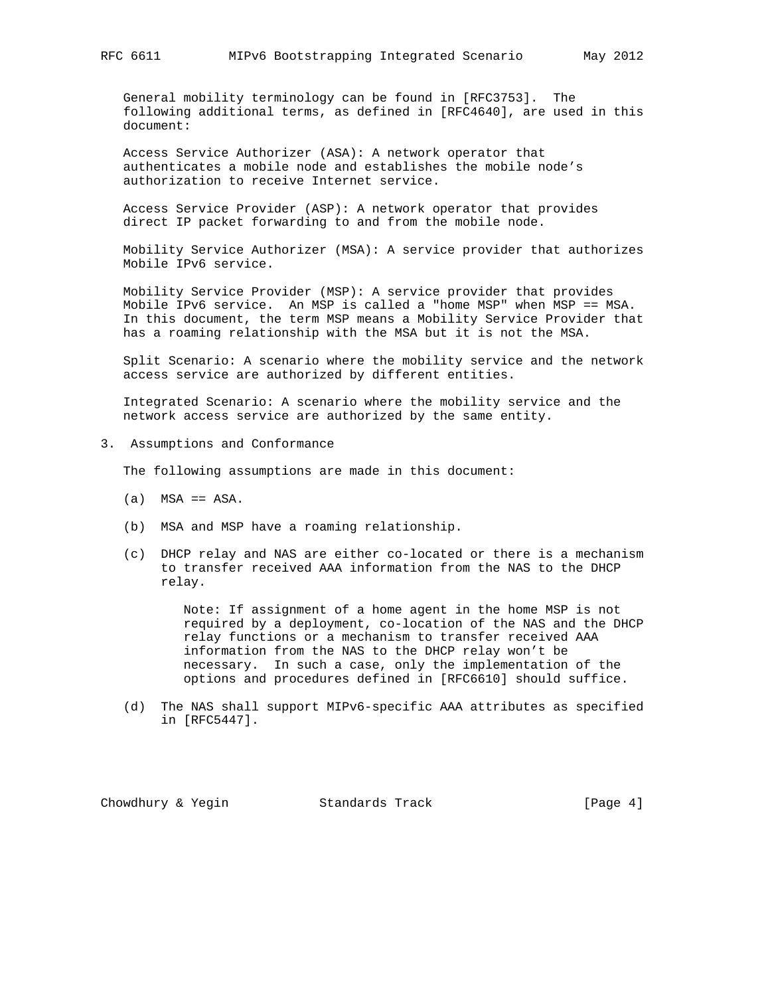General mobility terminology can be found in [RFC3753]. The following additional terms, as defined in [RFC4640], are used in this document:

 Access Service Authorizer (ASA): A network operator that authenticates a mobile node and establishes the mobile node's authorization to receive Internet service.

 Access Service Provider (ASP): A network operator that provides direct IP packet forwarding to and from the mobile node.

 Mobility Service Authorizer (MSA): A service provider that authorizes Mobile IPv6 service.

 Mobility Service Provider (MSP): A service provider that provides Mobile IPv6 service. An MSP is called a "home MSP" when MSP == MSA. In this document, the term MSP means a Mobility Service Provider that has a roaming relationship with the MSA but it is not the MSA.

 Split Scenario: A scenario where the mobility service and the network access service are authorized by different entities.

 Integrated Scenario: A scenario where the mobility service and the network access service are authorized by the same entity.

3. Assumptions and Conformance

The following assumptions are made in this document:

- $(a)$  MSA == ASA.
- (b) MSA and MSP have a roaming relationship.
- (c) DHCP relay and NAS are either co-located or there is a mechanism to transfer received AAA information from the NAS to the DHCP relay.

 Note: If assignment of a home agent in the home MSP is not required by a deployment, co-location of the NAS and the DHCP relay functions or a mechanism to transfer received AAA information from the NAS to the DHCP relay won't be necessary. In such a case, only the implementation of the options and procedures defined in [RFC6610] should suffice.

 (d) The NAS shall support MIPv6-specific AAA attributes as specified in [RFC5447].

Chowdhury & Yegin Standards Track [Page 4]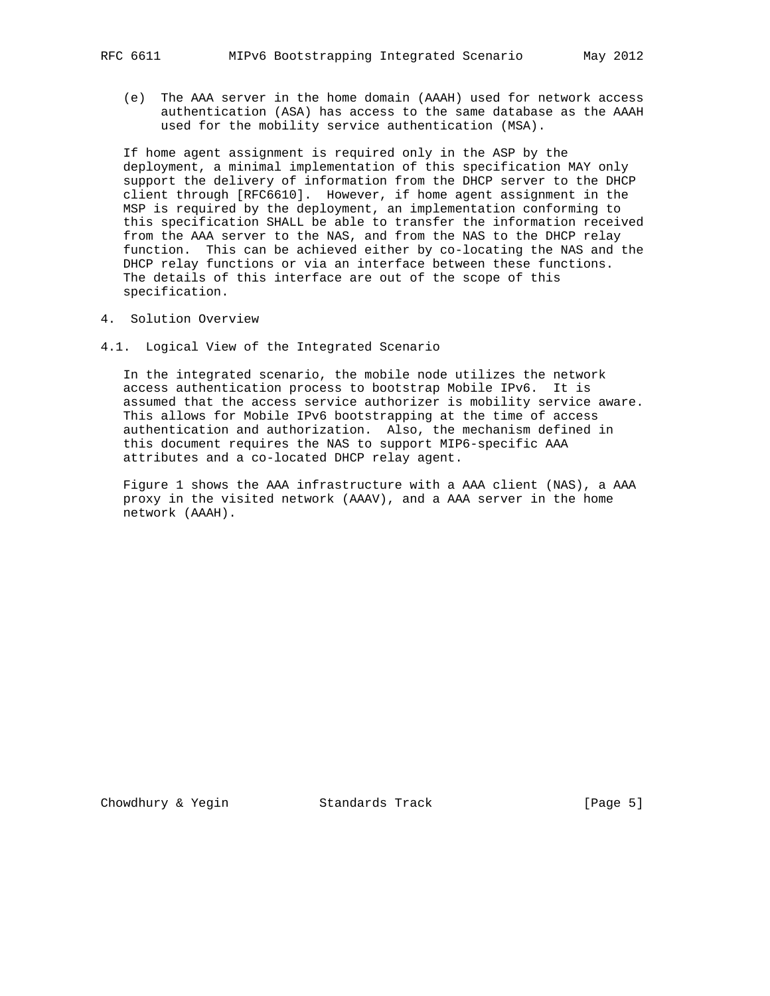(e) The AAA server in the home domain (AAAH) used for network access authentication (ASA) has access to the same database as the AAAH used for the mobility service authentication (MSA).

 If home agent assignment is required only in the ASP by the deployment, a minimal implementation of this specification MAY only support the delivery of information from the DHCP server to the DHCP client through [RFC6610]. However, if home agent assignment in the MSP is required by the deployment, an implementation conforming to this specification SHALL be able to transfer the information received from the AAA server to the NAS, and from the NAS to the DHCP relay function. This can be achieved either by co-locating the NAS and the DHCP relay functions or via an interface between these functions. The details of this interface are out of the scope of this specification.

- 4. Solution Overview
- 4.1. Logical View of the Integrated Scenario

 In the integrated scenario, the mobile node utilizes the network access authentication process to bootstrap Mobile IPv6. It is assumed that the access service authorizer is mobility service aware. This allows for Mobile IPv6 bootstrapping at the time of access authentication and authorization. Also, the mechanism defined in this document requires the NAS to support MIP6-specific AAA attributes and a co-located DHCP relay agent.

 Figure 1 shows the AAA infrastructure with a AAA client (NAS), a AAA proxy in the visited network (AAAV), and a AAA server in the home network (AAAH).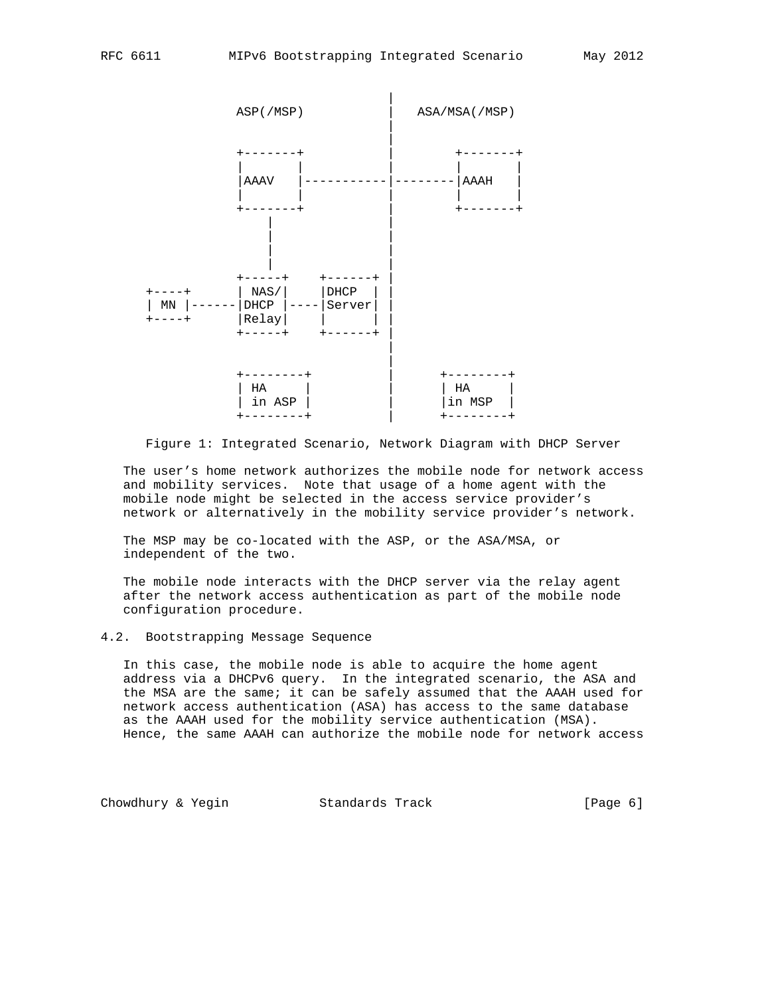

Figure 1: Integrated Scenario, Network Diagram with DHCP Server

 The user's home network authorizes the mobile node for network access and mobility services. Note that usage of a home agent with the mobile node might be selected in the access service provider's network or alternatively in the mobility service provider's network.

 The MSP may be co-located with the ASP, or the ASA/MSA, or independent of the two.

 The mobile node interacts with the DHCP server via the relay agent after the network access authentication as part of the mobile node configuration procedure.

## 4.2. Bootstrapping Message Sequence

 In this case, the mobile node is able to acquire the home agent address via a DHCPv6 query. In the integrated scenario, the ASA and the MSA are the same; it can be safely assumed that the AAAH used for network access authentication (ASA) has access to the same database as the AAAH used for the mobility service authentication (MSA). Hence, the same AAAH can authorize the mobile node for network access

Chowdhury & Yegin **Standards Track** [Page 6]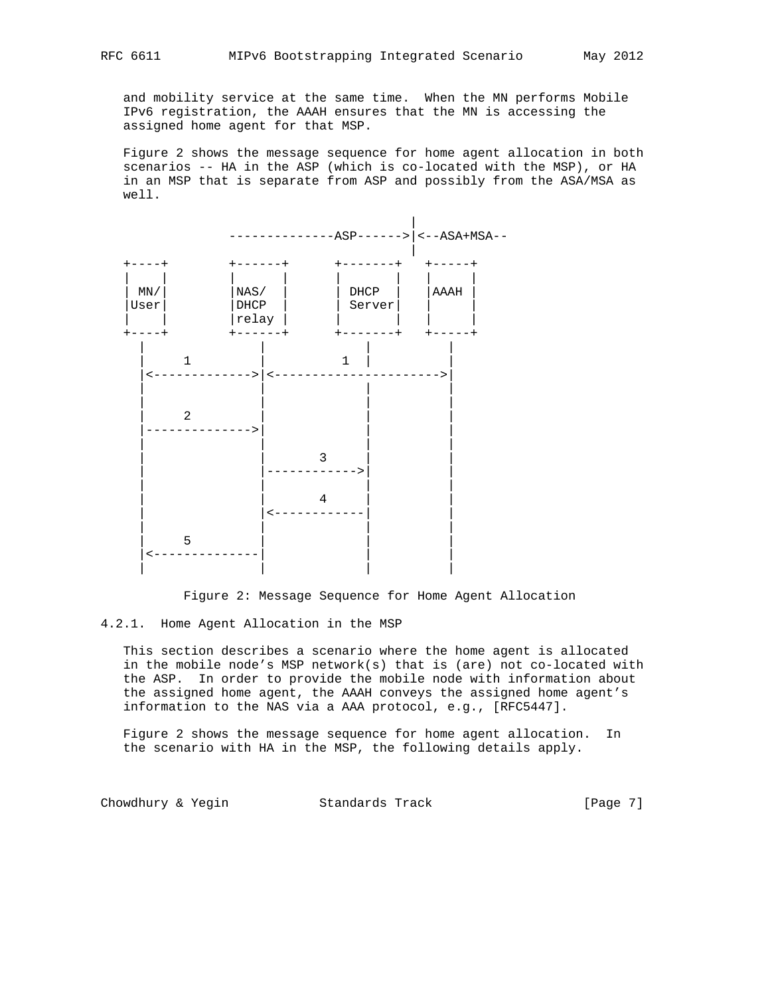and mobility service at the same time. When the MN performs Mobile IPv6 registration, the AAAH ensures that the MN is accessing the assigned home agent for that MSP.

 Figure 2 shows the message sequence for home agent allocation in both scenarios -- HA in the ASP (which is co-located with the MSP), or HA in an MSP that is separate from ASP and possibly from the ASA/MSA as well.



Figure 2: Message Sequence for Home Agent Allocation

## 4.2.1. Home Agent Allocation in the MSP

 This section describes a scenario where the home agent is allocated in the mobile node's MSP network(s) that is (are) not co-located with the ASP. In order to provide the mobile node with information about the assigned home agent, the AAAH conveys the assigned home agent's information to the NAS via a AAA protocol, e.g., [RFC5447].

 Figure 2 shows the message sequence for home agent allocation. In the scenario with HA in the MSP, the following details apply.

Chowdhury & Yegin **Standards Track** [Page 7]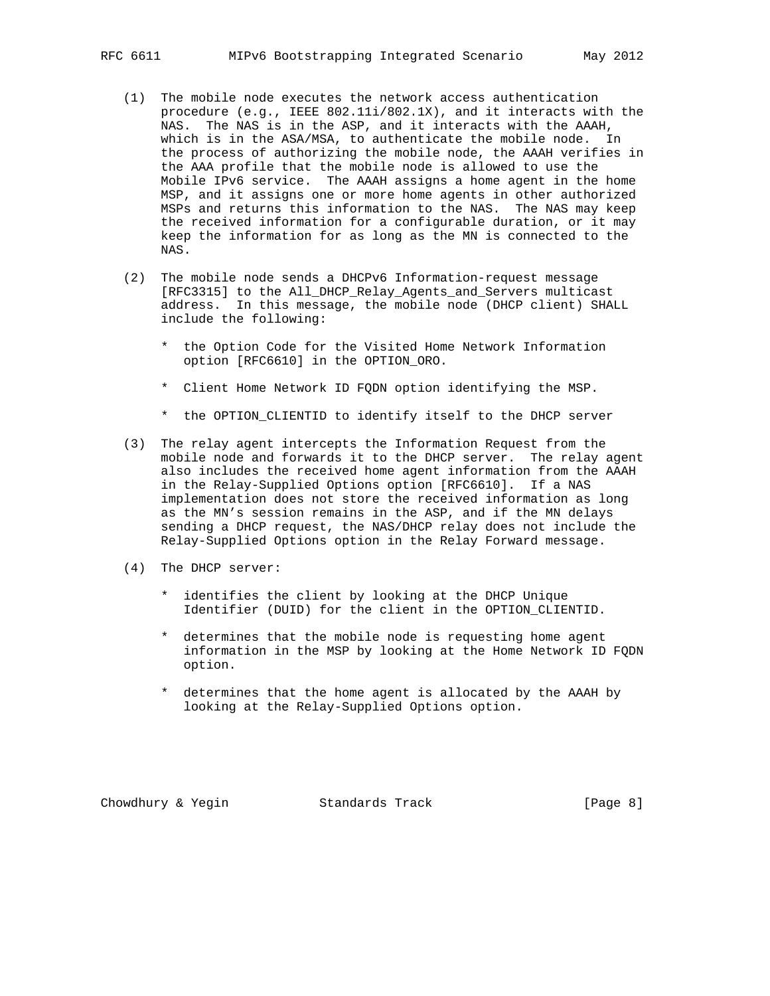- (1) The mobile node executes the network access authentication procedure (e.g., IEEE 802.11i/802.1X), and it interacts with the NAS. The NAS is in the ASP, and it interacts with the AAAH, which is in the ASA/MSA, to authenticate the mobile node. In the process of authorizing the mobile node, the AAAH verifies in the AAA profile that the mobile node is allowed to use the Mobile IPv6 service. The AAAH assigns a home agent in the home MSP, and it assigns one or more home agents in other authorized MSPs and returns this information to the NAS. The NAS may keep the received information for a configurable duration, or it may keep the information for as long as the MN is connected to the NAS.
- (2) The mobile node sends a DHCPv6 Information-request message [RFC3315] to the All\_DHCP\_Relay\_Agents\_and\_Servers multicast address. In this message, the mobile node (DHCP client) SHALL include the following:
	- \* the Option Code for the Visited Home Network Information option [RFC6610] in the OPTION\_ORO.
	- \* Client Home Network ID FQDN option identifying the MSP.
	- \* the OPTION\_CLIENTID to identify itself to the DHCP server
- (3) The relay agent intercepts the Information Request from the mobile node and forwards it to the DHCP server. The relay agent also includes the received home agent information from the AAAH in the Relay-Supplied Options option [RFC6610]. If a NAS implementation does not store the received information as long as the MN's session remains in the ASP, and if the MN delays sending a DHCP request, the NAS/DHCP relay does not include the Relay-Supplied Options option in the Relay Forward message.
- (4) The DHCP server:
	- \* identifies the client by looking at the DHCP Unique Identifier (DUID) for the client in the OPTION\_CLIENTID.
	- \* determines that the mobile node is requesting home agent information in the MSP by looking at the Home Network ID FQDN option.
	- \* determines that the home agent is allocated by the AAAH by looking at the Relay-Supplied Options option.

Chowdhury & Yegin Standards Track [Page 8]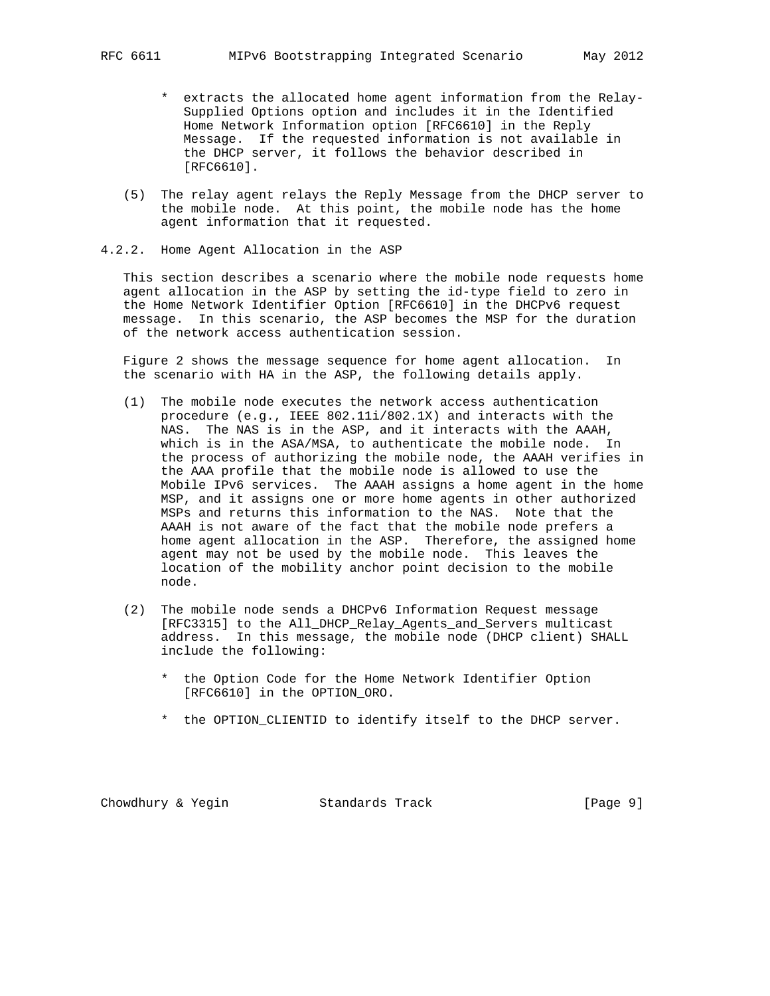- \* extracts the allocated home agent information from the Relay- Supplied Options option and includes it in the Identified Home Network Information option [RFC6610] in the Reply Message. If the requested information is not available in the DHCP server, it follows the behavior described in [RFC6610].
- (5) The relay agent relays the Reply Message from the DHCP server to the mobile node. At this point, the mobile node has the home agent information that it requested.
- 4.2.2. Home Agent Allocation in the ASP

 This section describes a scenario where the mobile node requests home agent allocation in the ASP by setting the id-type field to zero in the Home Network Identifier Option [RFC6610] in the DHCPv6 request message. In this scenario, the ASP becomes the MSP for the duration of the network access authentication session.

 Figure 2 shows the message sequence for home agent allocation. In the scenario with HA in the ASP, the following details apply.

- (1) The mobile node executes the network access authentication procedure (e.g., IEEE 802.11i/802.1X) and interacts with the NAS. The NAS is in the ASP, and it interacts with the AAAH, which is in the ASA/MSA, to authenticate the mobile node. In the process of authorizing the mobile node, the AAAH verifies in the AAA profile that the mobile node is allowed to use the Mobile IPv6 services. The AAAH assigns a home agent in the home MSP, and it assigns one or more home agents in other authorized MSPs and returns this information to the NAS. Note that the AAAH is not aware of the fact that the mobile node prefers a home agent allocation in the ASP. Therefore, the assigned home agent may not be used by the mobile node. This leaves the location of the mobility anchor point decision to the mobile node.
- (2) The mobile node sends a DHCPv6 Information Request message [RFC3315] to the All\_DHCP\_Relay\_Agents\_and\_Servers multicast address. In this message, the mobile node (DHCP client) SHALL include the following:
	- \* the Option Code for the Home Network Identifier Option [RFC6610] in the OPTION\_ORO.
	- \* the OPTION\_CLIENTID to identify itself to the DHCP server.

Chowdhury & Yegin Standards Track [Page 9]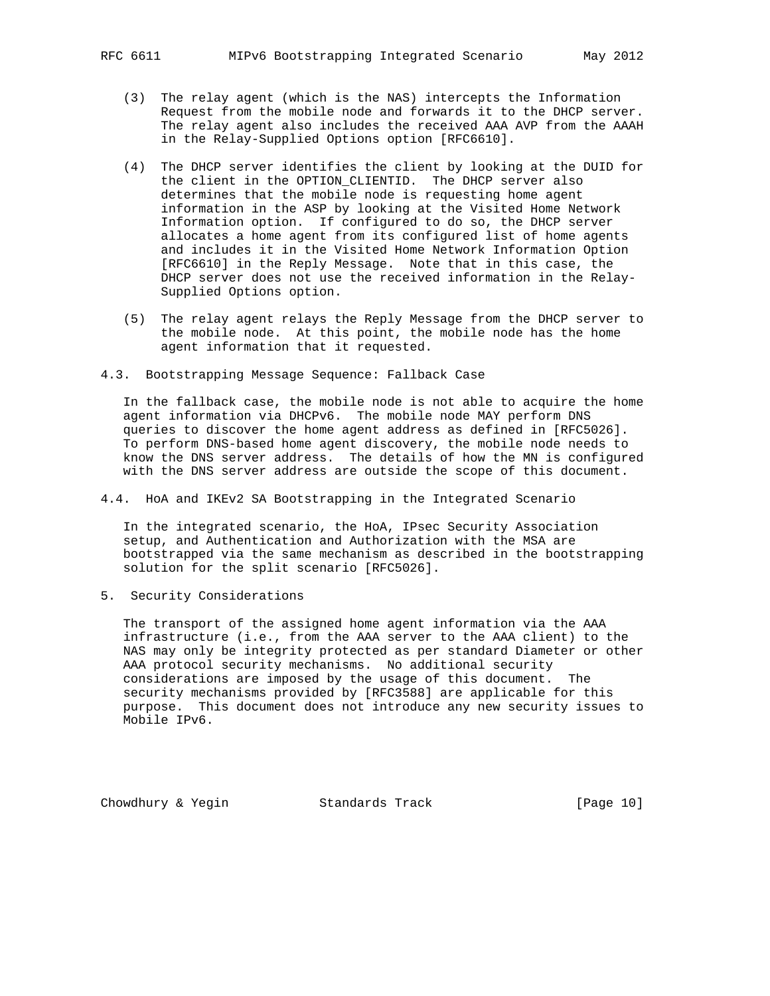- - (3) The relay agent (which is the NAS) intercepts the Information Request from the mobile node and forwards it to the DHCP server. The relay agent also includes the received AAA AVP from the AAAH in the Relay-Supplied Options option [RFC6610].
	- (4) The DHCP server identifies the client by looking at the DUID for the client in the OPTION\_CLIENTID. The DHCP server also determines that the mobile node is requesting home agent information in the ASP by looking at the Visited Home Network Information option. If configured to do so, the DHCP server allocates a home agent from its configured list of home agents and includes it in the Visited Home Network Information Option [RFC6610] in the Reply Message. Note that in this case, the DHCP server does not use the received information in the Relay- Supplied Options option.
	- (5) The relay agent relays the Reply Message from the DHCP server to the mobile node. At this point, the mobile node has the home agent information that it requested.
- 4.3. Bootstrapping Message Sequence: Fallback Case

 In the fallback case, the mobile node is not able to acquire the home agent information via DHCPv6. The mobile node MAY perform DNS queries to discover the home agent address as defined in [RFC5026]. To perform DNS-based home agent discovery, the mobile node needs to know the DNS server address. The details of how the MN is configured with the DNS server address are outside the scope of this document.

4.4. HoA and IKEv2 SA Bootstrapping in the Integrated Scenario

 In the integrated scenario, the HoA, IPsec Security Association setup, and Authentication and Authorization with the MSA are bootstrapped via the same mechanism as described in the bootstrapping solution for the split scenario [RFC5026].

5. Security Considerations

 The transport of the assigned home agent information via the AAA infrastructure (i.e., from the AAA server to the AAA client) to the NAS may only be integrity protected as per standard Diameter or other AAA protocol security mechanisms. No additional security considerations are imposed by the usage of this document. The security mechanisms provided by [RFC3588] are applicable for this purpose. This document does not introduce any new security issues to Mobile IPv6.

Chowdhury & Yegin Standards Track [Page 10]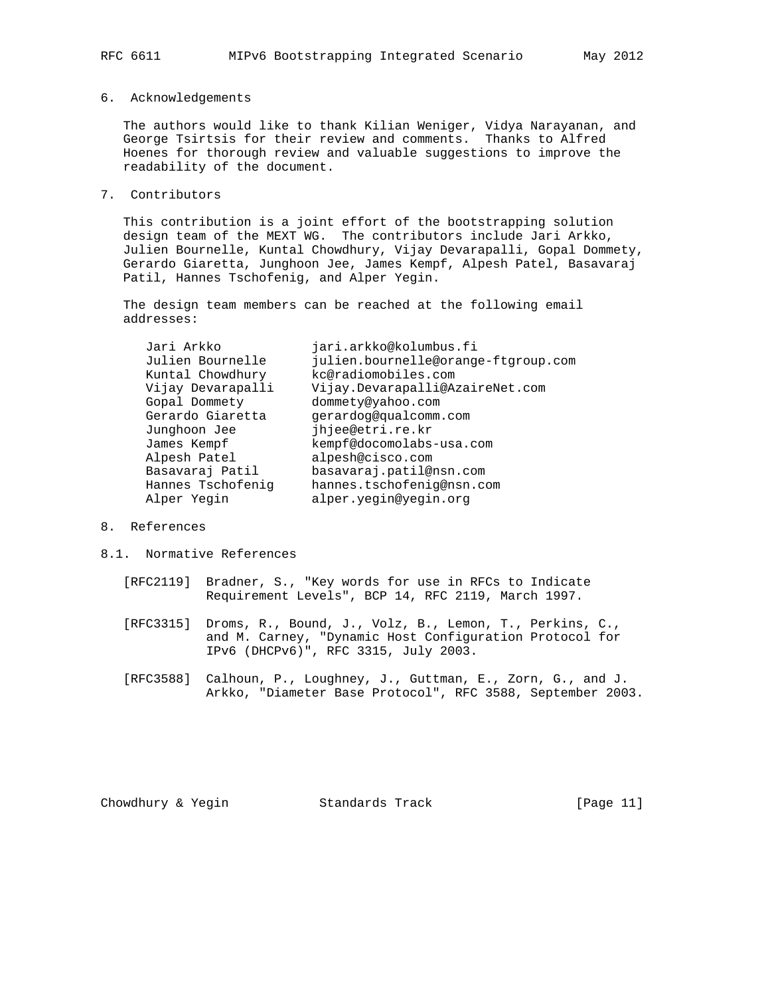#### 6. Acknowledgements

 The authors would like to thank Kilian Weniger, Vidya Narayanan, and George Tsirtsis for their review and comments. Thanks to Alfred Hoenes for thorough review and valuable suggestions to improve the readability of the document.

7. Contributors

 This contribution is a joint effort of the bootstrapping solution design team of the MEXT WG. The contributors include Jari Arkko, Julien Bournelle, Kuntal Chowdhury, Vijay Devarapalli, Gopal Dommety, Gerardo Giaretta, Junghoon Jee, James Kempf, Alpesh Patel, Basavaraj Patil, Hannes Tschofenig, and Alper Yegin.

 The design team members can be reached at the following email addresses:

| Jari Arkko        | jari.arkko@kolumbus.fi              |
|-------------------|-------------------------------------|
| Julien Bournelle  | julien.bournelle@orange-ftgroup.com |
| Kuntal Chowdhury  | kc@radiomobiles.com                 |
| Vijay Devarapalli | Vijay.Devarapalli@AzaireNet.com     |
| Gopal Dommety     | dommety@yahoo.com                   |
| Gerardo Giaretta  | qerardoq@qualcomm.com               |
| Junghoon Jee      | jhjee@etri.re.kr                    |
| James Kempf       | kempf@docomolabs-usa.com            |
| Alpesh Patel      | alpesh@cisco.com                    |
| Basavaraj Patil   | basavaraj.patil@nsn.com             |
| Hannes Tschofenig | hannes.tschofenig@nsn.com           |
| Alper Yegin       | alper.yegin@yegin.org               |
|                   |                                     |

#### 8. References

- 8.1. Normative References
	- [RFC2119] Bradner, S., "Key words for use in RFCs to Indicate Requirement Levels", BCP 14, RFC 2119, March 1997.
	- [RFC3315] Droms, R., Bound, J., Volz, B., Lemon, T., Perkins, C., and M. Carney, "Dynamic Host Configuration Protocol for IPv6 (DHCPv6)", RFC 3315, July 2003.
	- [RFC3588] Calhoun, P., Loughney, J., Guttman, E., Zorn, G., and J. Arkko, "Diameter Base Protocol", RFC 3588, September 2003.

Chowdhury & Yegin Standards Track [Page 11]